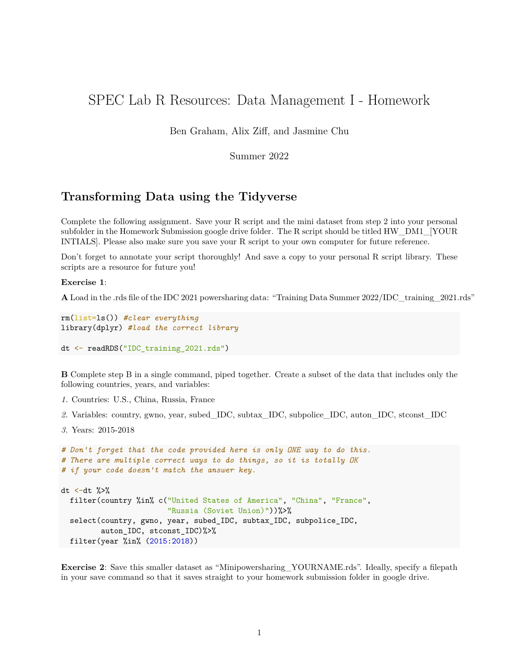## SPEC Lab R Resources: Data Management I - Homework

Ben Graham, Alix Ziff, and Jasmine Chu

Summer 2022

## **Transforming Data using the Tidyverse**

Complete the following assignment. Save your R script and the mini dataset from step 2 into your personal subfolder in the Homework Submission google drive folder. The R script should be titled HW\_DM1\_[YOUR INTIALS]. Please also make sure you save your R script to your own computer for future reference.

Don't forget to annotate your script thoroughly! And save a copy to your personal R script library. These scripts are a resource for future you!

**Exercise 1**:

**A** Load in the .rds file of the IDC 2021 powersharing data: "Training Data Summer 2022/IDC\_training\_2021.rds"

```
rm(list=ls()) #clear everything
library(dplyr) #load the correct library
```

```
dt <- readRDS("IDC_training_2021.rds")
```
**B** Complete step B in a single command, piped together. Create a subset of the data that includes only the following countries, years, and variables:

- *1.* Countries: U.S., China, Russia, France
- *2.* Variables: country, gwno, year, subed\_IDC, subtax\_IDC, subpolice\_IDC, auton\_IDC, stconst\_IDC
- *3.* Years: 2015-2018

```
# Don't forget that the code provided here is only ONE way to do this.
# There are multiple correct ways to do things, so it is totally OK
# if your code doesn't match the answer key.
dt \leftarrowdt \frac{9}{2}filter(country %in% c("United States of America", "China", "France",
                         "Russia (Soviet Union)"))%>%
  select(country, gwno, year, subed_IDC, subtax_IDC, subpolice_IDC,
         auton_IDC, stconst_IDC)%>%
  filter(year %in% (2015:2018))
```
**Exercise 2**: Save this smaller dataset as "Minipowersharing\_YOURNAME.rds". Ideally, specify a filepath in your save command so that it saves straight to your homework submission folder in google drive.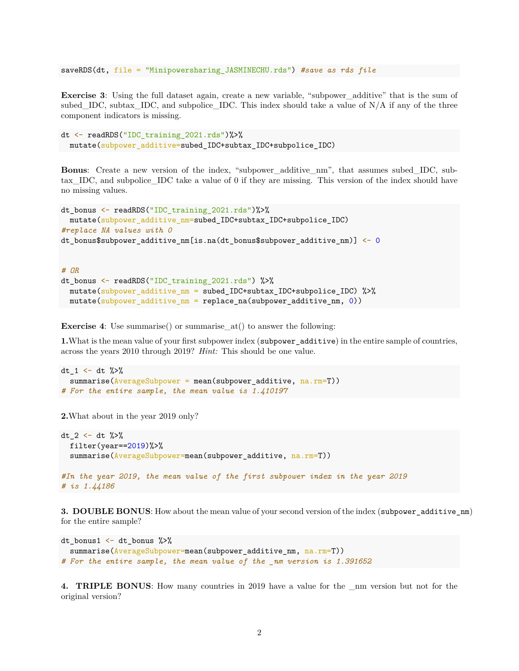```
saveRDS(dt, file = "Minipowersharing_JASMINECHU.rds") #save as rds file
```
**Exercise 3**: Using the full dataset again, create a new variable, "subpower additive" that is the sum of subed\_IDC, subtax\_IDC, and subpolice\_IDC. This index should take a value of  $N/A$  if any of the three component indicators is missing.

```
dt <- readRDS("IDC_training_2021.rds")%>%
  mutate(subpower_additive=subed_IDC+subtax_IDC+subpolice_IDC)
```
**Bonus**: Create a new version of the index, "subpower\_additive\_nm", that assumes subed\_IDC, subtax\_IDC, and subpolice\_IDC take a value of 0 if they are missing. This version of the index should have no missing values.

```
dt_bonus <- readRDS("IDC_training_2021.rds")%>%
 mutate(subpower_additive_nm=subed_IDC+subtax_IDC+subpolice_IDC)
#replace NA values with 0
dt_bonus$subpower_additive_nm[is.na(dt_bonus$subpower_additive_nm)] <- 0
```

```
# OR
dt bonus \leq readRDS("IDC training 2021.rds") %>%
  mutate(subpower_additive_nm = subed_IDC+subtax_IDC+subpolice_IDC) %>%
  mutate(subpower_additive_nm = replace_na(subpower_additive_nm, 0))
```
**Exercise 4**: Use summarise() or summarise\_at() to answer the following:

**1.**What is the mean value of your first subpower index (subpower additive) in the entire sample of countries, across the years 2010 through 2019? *Hint:* This should be one value.

```
dt_1 <- dt \frac{1}{2}summarise(AverageSubpower = mean(subpower_additive, na.rm=T))
# For the entire sample, the mean value is 1.410197
```
**2.**What about in the year 2019 only?

```
dt 2 \le - dt \frac{1}{2}filter(year==2019%>%
  summarise(AverageSubpower=mean(subpower_additive, na.rm=T))
#In the year 2019, the mean value of the first subpower index in the year 2019
# is 1.44186
```
**3. DOUBLE BONUS:** How about the mean value of your second version of the index (subpower\_additive\_nm) for the entire sample?

```
dt_bonus1 \leftarrow dt_bonus %>%
  summarise(AverageSubpower=mean(subpower_additive_nm, na.rm=T))
# For the entire sample, the mean value of the _nm version is 1.391652
```
**4. TRIPLE BONUS**: How many countries in 2019 have a value for the \_nm version but not for the original version?